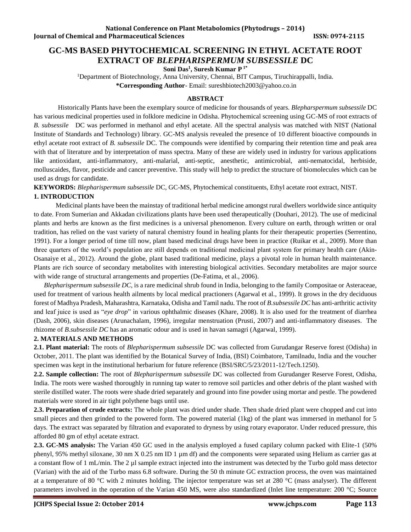# **GC-MS BASED PHYTOCHEMICAL SCREENING IN ETHYL ACETATE ROOT EXTRACT OF** *BLEPHARISPERMUM SUBSESSILE* **DC**

**Soni Das<sup>1</sup> , Suresh Kumar P 1\***

<sup>1</sup>Department of Biotechnology, Anna University, Chennai, BIT Campus, Tiruchirappalli, India. **\*Corresponding Author**- Email: sureshbiotech2003@yahoo.co.in

## **ABSTRACT**

Historically Plants have been the exemplary source of medicine for thousands of years. *Blepharspermum subsessile* DC has various medicinal properties used in folklore medicine in Odisha. Phytochemical screening using GC-MS of root extracts of *B. subsessile* DC was performed in methanol and ethyl acetate. All the spectral analysis was matched with NIST (National Institute of Standards and Technology) library. GC-MS analysis revealed the presence of 10 different bioactive compounds in ethyl acetate root extract of *B. subsessile* DC. The compounds were identified by comparing their retention time and peak area with that of literature and by interpretation of mass spectra. Many of these are widely used in industry for various applications like antioxidant, anti-inflammatory, anti-malarial, anti-septic, anesthetic, antimicrobial, anti-nematocidal, herbiside, molluscaides, flavor, pesticide and cancer preventive. This study will help to predict the structure of biomolecules which can be used as drugs for candidate.

**KEYWORDS:** *Blepharispermum subsessile* DC, GC-MS, Phytochemical constituents, Ethyl acetate root extract, NIST.

## **1. INTRODUCTION**

 Medicinal plants have been the mainstay of traditional herbal medicine amongst rural dwellers worldwide since antiquity to date. From Sumerian and Akkadan civilizations plants have been used therapeutically (Douhari, 2012). The use of medicinal plants and herbs are known as the first medicines is a universal phenomenon. Every culture on earth, through written or oral tradition, has relied on the vast variety of natural chemistry found in healing plants for their therapeutic properties (Serrentino, 1991). For a longer period of time till now, plant based medicinal drugs have been in practice (Ruikar et al., 2009). More than three quarters of the world's population are still depends on traditional medicinal plant system for primary health care (Akin-Osanaiye et al., 2012). Around the globe, plant based traditional medicine, plays a pivotal role in human health maintenance. Plants are rich source of secondary metabolites with interesting biological activities. Secondary metabolites are major source with wide range of structural arrangements and properties (De-Fatima, et al., 2006).

 *Blepharispermum subsessile DC,* is a rare medicinal shrub found in India, belonging to the family Compositae or Asteraceae, used for treatment of various health ailments by local medical practioners (Agarwal et al., 1999). It grows in the dry deciduous forest of Madhya Pradesh, Maharashtra, Karnataka, Odisha and Tamil nadu. The root of *B.subsessile DC* has anti-arthritic activity and leaf juice is used as "*eye drop*" in various ophthalmic diseases (Khare, 2008). It is also used for the treatment of diarrhea (Dash, 2006), skin diseases (Arunachalam, 1996), irregular menstruation (Prusti, 2007) and anti-inflammatory diseases. The rhizome of *B.subsessile DC* has an aromatic odour and is used in havan samagri (Agarwal, 1999).

## **2. MATERIALS AND METHODS**

**2.1. Plant material:** The roots of *Blepharispermum subsessile* DC was collected from Gurudangar Reserve forest (Odisha) in October, 2011. The plant was identified by the Botanical Survey of India, (BSI) Coimbatore, Tamilnadu, India and the voucher specimen was kept in the institutional herbarium for future reference (BSI/SRC/5/23/2011-12/Tech.1250).

**2.2. Sample collection:** The root of *Blepharispermum subsessile* DC was collected from Gurudanger Reserve Forest, Odisha, India. The roots were washed thoroughly in running tap water to remove soil particles and other debris of the plant washed with sterile distilled water. The roots were shade dried separately and ground into fine powder using mortar and pestle. The powdered materials were stored in air tight polythene bags until use.

**2.3. Preparation of crude extracts:** The whole plant was dried under shade. Then shade dried plant were chopped and cut into small pieces and then grinded to the powered form. The powered material (1kg) of the plant was immersed in methanol for 5 days. The extract was separated by filtration and evaporated to dryness by using rotary evaporator. Under reduced pressure, this afforded 80 gm of ethyl acetate extract.

**2.3. GC-MS analysis:** The Varian 450 GC used in the analysis employed a fused capilary column packed with Elite-1 (50% phenyl, 95% methyl siloxane, 30 nm X 0.25 nm ID 1 µm df) and the components were separated using Helium as carrier gas at a constant flow of 1 mL/min. The 2 µl sample extract injected into the instrument was detected by the Turbo gold mass detector (Varian) with the aid of the Turbo mass 6.8 software. During the 50 th minute GC extraction process, the oven was maintained at a temperature of 80 °C with 2 minutes holding. The injector temperature was set at 280 °C (mass analyser). The different parameters involved in the operation of the Varian 450 MS, were also standardized (Inlet line temperature: 200 °C; Source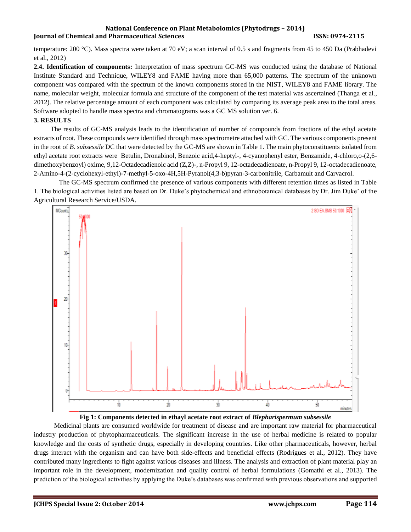#### **National Conference on Plant Metabolomics (Phytodrugs – 2014) Iournal of Chemical and Pharmaceutical Sciences ISSN: 0974-2115**

temperature: 200 °C). Mass spectra were taken at 70 eV; a scan interval of 0.5 s and fragments from 45 to 450 Da (Prabhadevi et al., 2012)

**2.4. Identification of components:** Interpretation of mass spectrum GC-MS was conducted using the database of National Institute Standard and Technique, WILEY8 and FAME having more than 65,000 patterns. The spectrum of the unknown component was compared with the spectrum of the known components stored in the NIST, WILEY8 and FAME library. The name, molecular weight, molecular formula and structure of the component of the test material was ascertained (Thanga et al., 2012). The relative percentage amount of each component was calculated by comparing its average peak area to the total areas. Software adopted to handle mass spectra and chromatograms was a GC MS solution ver. 6.

## **3. RESULTS**

 The results of GC-MS analysis leads to the identification of number of compounds from fractions of the ethyl acetate extracts of root. These compounds were identified through mass spectrometre attached with GC. The various components present in the root of *B. subsessile* DC that were detected by the GC-MS are shown in Table 1. The main phytoconstituents isolated from ethyl acetate root extracts were Betulin, Dronabinol, Benzoic acid,4-heptyl-, 4-cyanophenyl ester, Benzamide, 4-chloro,o-(2,6 dimethoxybenzoyl) oxime, 9,12-Octadecadienoic acid (Z,Z)-, n-Propyl 9, 12-octadecadienoate, n-Propyl 9, 12-octadecadienoate, 2-Amino-4-(2-cyclohexyl-ethyl)-7-methyl-5-oxo-4H,5H-Pyranol(4,3-b)pyran-3-carbonitrile, Carbamult and Carvacrol.

 The GC-MS spectrum confirmed the presence of various components with different retention times as listed in Table 1. The biological activities listed are based on Dr. Duke's phytochemical and ethnobotanical databases by Dr. Jim Duke' of the Agricultural Research Service/USDA.





 Medicinal plants are consumed worldwide for treatment of disease and are important raw material for pharmaceutical industry production of phytopharmaceuticals. The significant increase in the use of herbal medicine is related to popular knowledge and the costs of synthetic drugs, especially in developing countries. Like other pharmaceuticals, however, herbal drugs interact with the organism and can have both side-effects and beneficial effects (Rodrigues et al., 2012). They have contributed many ingredients to fight against various diseases and illness. The analysis and extraction of plant material play an important role in the development, modernization and quality control of herbal formulations (Gomathi et al., 2013). The prediction of the biological activities by applying the Duke's databases was confirmed with previous observations and supported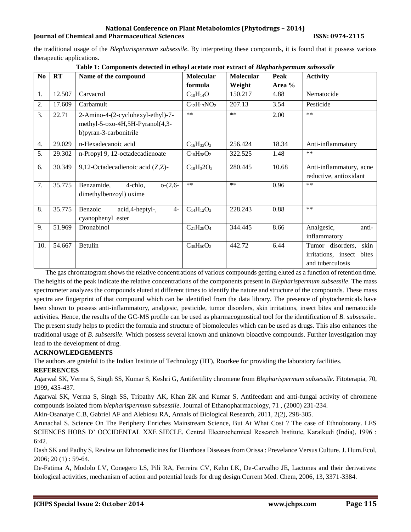### **National Conference on Plant Metabolomics (Phytodrugs – 2014) Iournal of Chemical and Pharmaceutical Sciences ISSN: 0974-2115**

the traditional usage of the *Blepharispermum subsessile*. By interpreting these compounds, it is found that it possess various therapeutic applications.

| N <sub>0</sub> | RT     | Name of the compound                                                                            | <b>Molecular</b>   | Molecular | Peak   | <b>Activity</b>                                                              |
|----------------|--------|-------------------------------------------------------------------------------------------------|--------------------|-----------|--------|------------------------------------------------------------------------------|
|                |        |                                                                                                 | formula            | Weight    | Area % |                                                                              |
| 1.             | 12.507 | Carvacrol                                                                                       | $C_{10}H_{14}O$    | 150.217   | 4.88   | Nematocide                                                                   |
| 2.             | 17.609 | Carbamult                                                                                       | $C_{12}H_{17}NO_2$ | 207.13    | 3.54   | Pesticide                                                                    |
| 3.             | 22.71  | 2-Amino-4-(2-cyclohexyl-ethyl)-7-<br>methyl-5-oxo-4H,5H-Pyranol(4,3-<br>b) pyran-3-carbonitrile | $***$              | $**$      | 2.00   | $**$                                                                         |
| 4.             | 29.029 | n-Hexadecanoic acid                                                                             | $C_{16}H_{32}O_2$  | 256.424   | 18.34  | Anti-inflammatory                                                            |
| 5.             | 29.302 | n-Propyl 9, 12-octadecadienoate                                                                 | $C_{10}H_{38}O_2$  | 322.525   | 1.48   | $**$                                                                         |
| 6.             | 30.349 | 9,12-Octadecadienoic acid (Z,Z)-                                                                | $C_{18}H_32O_2$    | 280.445   | 10.68  | Anti-inflammatory, acne<br>reductive, antioxidant                            |
| 7.             | 35.775 | Benzamide,<br>$o-(2,6-$<br>4-chlo,<br>dimethylbenzoyl) oxime                                    | $***$              | $***$     | 0.96   | $**$                                                                         |
| 8.             | 35.775 | Benzoic<br>acid,4-heptyl-,<br>$4-$<br>cyanophenyl ester                                         | $C_{14}H_{12}O_3$  | 228.243   | 0.88   | $**$                                                                         |
| 9.             | 51.969 | Dronabinol                                                                                      | $C_{21}H_{28}O_4$  | 344.445   | 8.66   | Analgesic,<br>anti-<br>inflammatory                                          |
| 10.            | 54.667 | Betulin                                                                                         | $C_{30}H_{50}O_2$  | 442.72    | 6.44   | Tumor disorders,<br>skin<br>irritations, insect<br>bites<br>and tuberculosis |

| Table 1: Components detected in ethayl acetate root extract of Blepharispermum subsessile |
|-------------------------------------------------------------------------------------------|
|-------------------------------------------------------------------------------------------|

 The gas chromatogram shows the relative concentrations of various compounds getting eluted as a function of retention time. The heights of the peak indicate the relative concentrations of the components present in *Blepharispermum subsessile*. The mass spectrometer analyzes the compounds eluted at different times to identify the nature and structure of the compounds. These mass spectra are fingerprint of that compound which can be identified from the data library. The presence of phytochemicals have been shown to possess anti-inflammatory, analgesic, pesticide, tumor disorders, skin irritations, insect bites and nematocide activities. Hence, the results of the GC-MS profile can be used as pharmacognostical tool for the identification of *B. subsessile*.. The present study helps to predict the formula and structure of biomolecules which can be used as drugs. This also enhances the traditional usage of *B. subsessile*. Which possess several known and unknown bioactive compounds. Further investigation may lead to the development of drug.

# **ACKNOWLEDGEMENTS**

The authors are grateful to the Indian Institute of Technology (IIT), Roorkee for providing the laboratory facilities.

## **REFERENCES**

Agarwal SK, Verma S, Singh SS, Kumar S, Keshri G, Antifertility chromene from *Blepharispermum subsessile.* Fitoterapia, 70, 1999, 435-437.

Agarwal SK, Verma S, Singh SS, Tripathy AK, Khan ZK and Kumar S, Antifeedant and anti-fungal activity of chromene compounds isolated from *blepharispermum subsessile*. Journal of Ethanopharmacology, 71 , (2000) 231-234.

Akin-Osanaiye C.B, Gabriel AF and Alebiosu RA, Annals of Biological Research, 2011, 2(2), 298-305.

Arunachal S. Science On The Periphery Enriches Mainstream Science, But At What Cost ? The case of Ethnobotany. LES SCIENCES HORS D' OCCIDENTAL XXE SIECLE, Central Electrochemical Research Institute, Karaikudi (India), 1996 : 6:42.

Dash SK and Padhy S, Review on Ethnomedicines for Diarrhoea Diseases from Orissa : Prevelance Versus Culture. J. Hum.Ecol, 2006; 20 (1) : 59-64.

De-Fatima A, Modolo LV, Conegero LS, Pili RA, Ferreira CV, Kehn LK, De-Carvalho JE, Lactones and their derivatives: biological activities, mechanism of action and potential leads for drug design.Current Med. Chem, 2006, 13, 3371-3384.